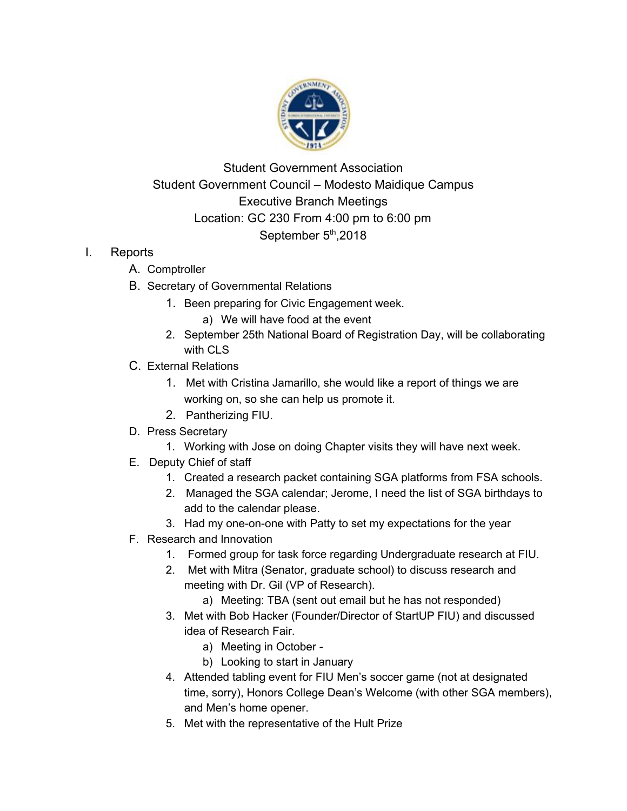

## Student Government Association Student Government Council – Modesto Maidique Campus Executive Branch Meetings Location: GC 230 From 4:00 pm to 6:00 pm September 5<sup>th</sup>, 2018

## I. Reports

- A. Comptroller
- B. Secretary of Governmental Relations
	- 1. Been preparing for Civic Engagement week.
		- a) We will have food at the event
	- 2. September 25th National Board of Registration Day, will be collaborating with CLS
- C. External Relations
	- 1. Met with Cristina Jamarillo, she would like a report of things we are working on, so she can help us promote it.
	- 2. Pantherizing FIU.
- D. Press Secretary
	- 1. Working with Jose on doing Chapter visits they will have next week.
- E. Deputy Chief of staff
	- 1. Created a research packet containing SGA platforms from FSA schools.
	- 2. Managed the SGA calendar; Jerome, I need the list of SGA birthdays to add to the calendar please.
	- 3. Had my one-on-one with Patty to set my expectations for the year
- F. Research and Innovation
	- 1. Formed group for task force regarding Undergraduate research at FIU.
	- 2. Met with Mitra (Senator, graduate school) to discuss research and meeting with Dr. Gil (VP of Research).
		- a) Meeting: TBA (sent out email but he has not responded)
	- 3. Met with Bob Hacker (Founder/Director of StartUP FIU) and discussed idea of Research Fair.
		- a) Meeting in October -
		- b) Looking to start in January
	- 4. Attended tabling event for FIU Men's soccer game (not at designated time, sorry), Honors College Dean's Welcome (with other SGA members), and Men's home opener.
	- 5. Met with the representative of the Hult Prize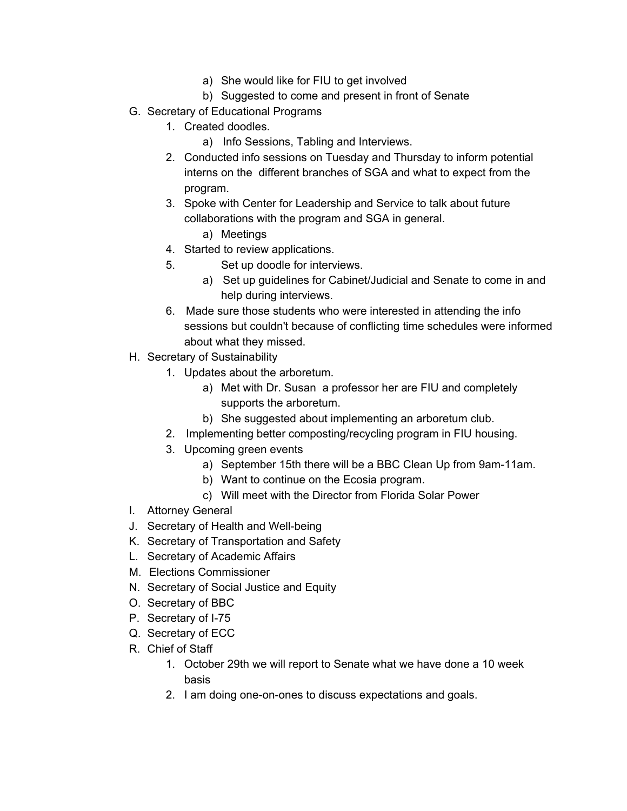- a) She would like for FIU to get involved
- b) Suggested to come and present in front of Senate
- G. Secretary of Educational Programs
	- 1. Created doodles.
		- a) Info Sessions, Tabling and Interviews.
	- 2. Conducted info sessions on Tuesday and Thursday to inform potential interns on the different branches of SGA and what to expect from the program.
	- 3. Spoke with Center for Leadership and Service to talk about future collaborations with the program and SGA in general.
		- a) Meetings
	- 4. Started to review applications.
	- 5. Set up doodle for interviews.
		- a) Set up guidelines for Cabinet/Judicial and Senate to come in and help during interviews.
	- 6. Made sure those students who were interested in attending the info sessions but couldn't because of conflicting time schedules were informed about what they missed.
- H. Secretary of Sustainability
	- 1. Updates about the arboretum.
		- a) Met with Dr. Susan a professor her are FIU and completely supports the arboretum.
		- b) She suggested about implementing an arboretum club.
	- 2. Implementing better composting/recycling program in FIU housing.
	- 3. Upcoming green events
		- a) September 15th there will be a BBC Clean Up from 9am-11am.
		- b) Want to continue on the Ecosia program.
		- c) Will meet with the Director from Florida Solar Power
- I. Attorney General
- J. Secretary of Health and Well-being
- K. Secretary of Transportation and Safety
- L. Secretary of Academic Affairs
- M. Elections Commissioner
- N. Secretary of Social Justice and Equity
- O. Secretary of BBC
- P. Secretary of I-75
- Q. Secretary of ECC
- R. Chief of Staff
	- 1. October 29th we will report to Senate what we have done a 10 week basis
	- 2. I am doing one-on-ones to discuss expectations and goals.